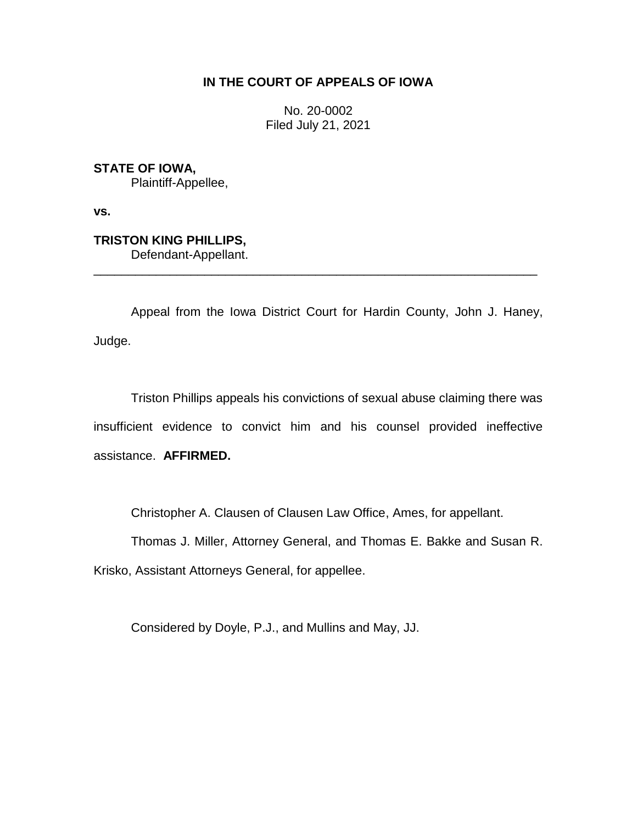# **IN THE COURT OF APPEALS OF IOWA**

No. 20-0002 Filed July 21, 2021

**STATE OF IOWA,** Plaintiff-Appellee,

**vs.**

**TRISTON KING PHILLIPS,**

Defendant-Appellant.

Appeal from the Iowa District Court for Hardin County, John J. Haney, Judge.

\_\_\_\_\_\_\_\_\_\_\_\_\_\_\_\_\_\_\_\_\_\_\_\_\_\_\_\_\_\_\_\_\_\_\_\_\_\_\_\_\_\_\_\_\_\_\_\_\_\_\_\_\_\_\_\_\_\_\_\_\_\_\_\_

Triston Phillips appeals his convictions of sexual abuse claiming there was insufficient evidence to convict him and his counsel provided ineffective assistance. **AFFIRMED.**

Christopher A. Clausen of Clausen Law Office, Ames, for appellant.

Thomas J. Miller, Attorney General, and Thomas E. Bakke and Susan R.

Krisko, Assistant Attorneys General, for appellee.

Considered by Doyle, P.J., and Mullins and May, JJ.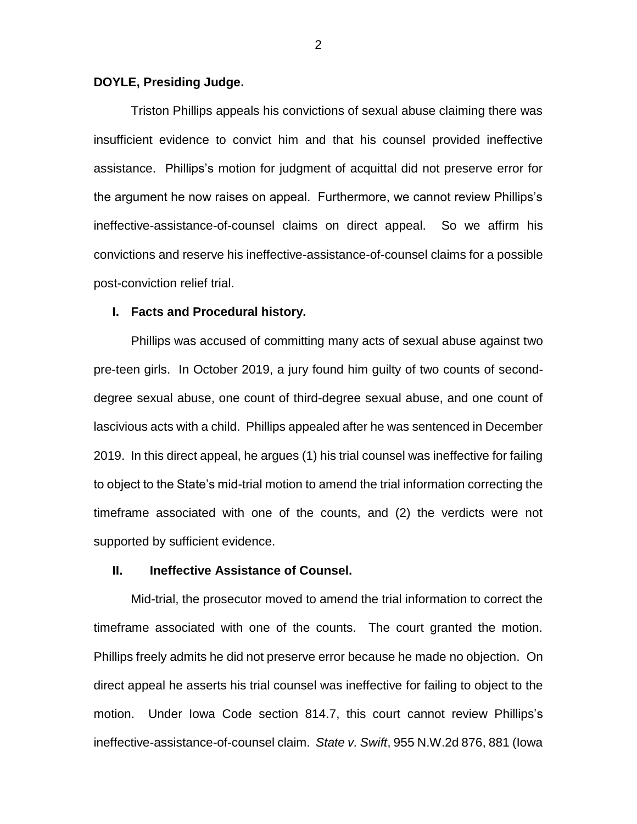## **DOYLE, Presiding Judge.**

Triston Phillips appeals his convictions of sexual abuse claiming there was insufficient evidence to convict him and that his counsel provided ineffective assistance. Phillips's motion for judgment of acquittal did not preserve error for the argument he now raises on appeal. Furthermore, we cannot review Phillips's ineffective-assistance-of-counsel claims on direct appeal. So we affirm his convictions and reserve his ineffective-assistance-of-counsel claims for a possible post-conviction relief trial.

### **I. Facts and Procedural history.**

Phillips was accused of committing many acts of sexual abuse against two pre-teen girls. In October 2019, a jury found him guilty of two counts of seconddegree sexual abuse, one count of third-degree sexual abuse, and one count of lascivious acts with a child. Phillips appealed after he was sentenced in December 2019. In this direct appeal, he argues (1) his trial counsel was ineffective for failing to object to the State's mid-trial motion to amend the trial information correcting the timeframe associated with one of the counts, and (2) the verdicts were not supported by sufficient evidence.

## **II. Ineffective Assistance of Counsel.**

Mid-trial, the prosecutor moved to amend the trial information to correct the timeframe associated with one of the counts. The court granted the motion. Phillips freely admits he did not preserve error because he made no objection. On direct appeal he asserts his trial counsel was ineffective for failing to object to the motion. Under Iowa Code section 814.7, this court cannot review Phillips's ineffective-assistance-of-counsel claim. *State v. Swift*, 955 N.W.2d 876, 881 (Iowa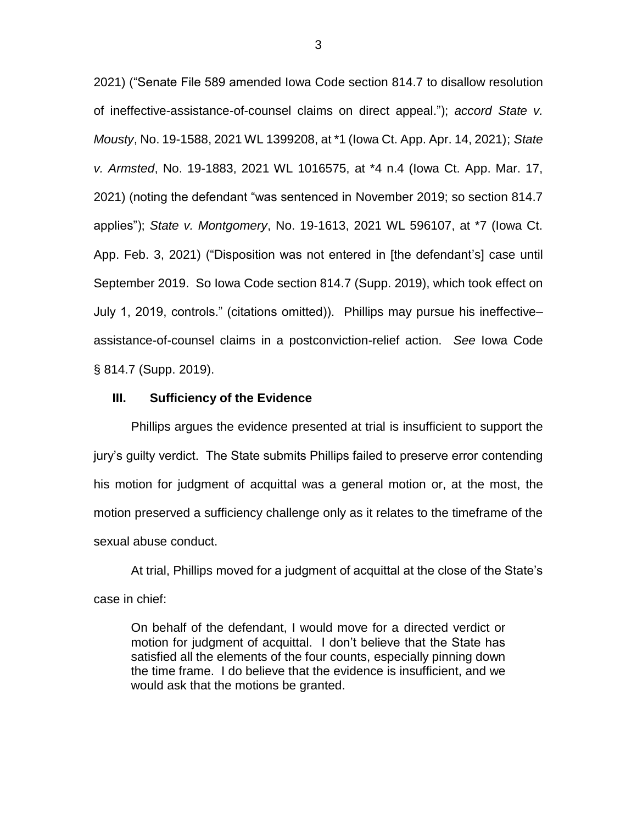2021) ("Senate File 589 amended Iowa Code section 814.7 to disallow resolution of ineffective-assistance-of-counsel claims on direct appeal."); *accord State v. Mousty*, No. 19-1588, 2021 WL 1399208, at \*1 (Iowa Ct. App. Apr. 14, 2021); *State v. Armsted*, No. 19-1883, 2021 WL 1016575, at \*4 n.4 (Iowa Ct. App. Mar. 17, 2021) (noting the defendant "was sentenced in November 2019; so section 814.7 applies"); *State v. Montgomery*, No. 19-1613, 2021 WL 596107, at \*7 (Iowa Ct. App. Feb. 3, 2021) ("Disposition was not entered in [the defendant's] case until September 2019. So Iowa Code section 814.7 (Supp. 2019), which took effect on July 1, 2019, controls." (citations omitted)). Phillips may pursue his ineffective– assistance-of-counsel claims in a postconviction-relief action. *See* Iowa Code § 814.7 (Supp. 2019).

### **III. Sufficiency of the Evidence**

Phillips argues the evidence presented at trial is insufficient to support the jury's guilty verdict. The State submits Phillips failed to preserve error contending his motion for judgment of acquittal was a general motion or, at the most, the motion preserved a sufficiency challenge only as it relates to the timeframe of the sexual abuse conduct.

At trial, Phillips moved for a judgment of acquittal at the close of the State's case in chief:

On behalf of the defendant, I would move for a directed verdict or motion for judgment of acquittal. I don't believe that the State has satisfied all the elements of the four counts, especially pinning down the time frame. I do believe that the evidence is insufficient, and we would ask that the motions be granted.

3